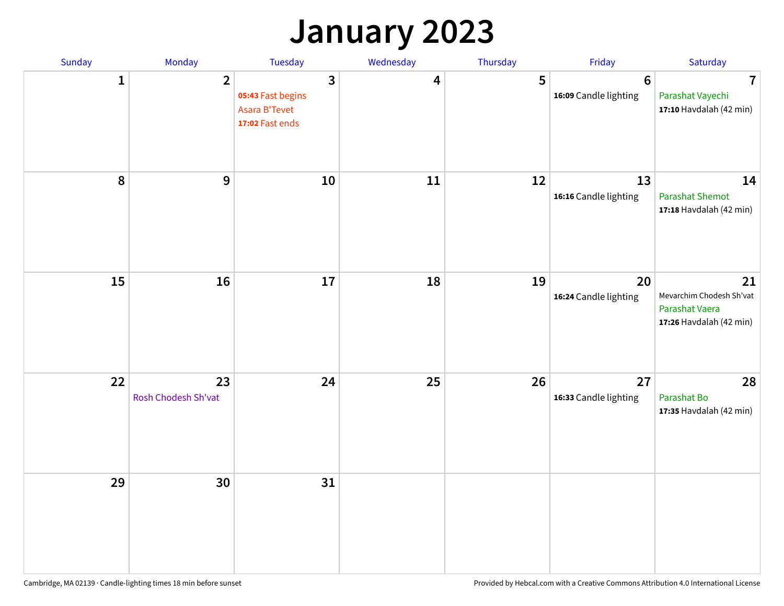## **January 2023**

| Sunday | Monday                    | Tuesday                                                    | Wednesday | Thursday | Friday                                  | Saturday                                                                    |
|--------|---------------------------|------------------------------------------------------------|-----------|----------|-----------------------------------------|-----------------------------------------------------------------------------|
| 1      | $\overline{2}$            | 3<br>05:43 Fast begins<br>Asara B'Tevet<br>17:02 Fast ends | 4         | 5        | $6\phantom{1}$<br>16:09 Candle lighting | $\overline{7}$<br>Parashat Vayechi<br>17:10 Havdalah (42 min)               |
| 8      | 9                         | 10                                                         | 11        | 12       | 13<br>16:16 Candle lighting             | 14<br><b>Parashat Shemot</b><br>17:18 Havdalah (42 min)                     |
| 15     | 16                        | 17                                                         | 18        | 19       | 20<br>16:24 Candle lighting             | 21<br>Mevarchim Chodesh Sh'vat<br>Parashat Vaera<br>17:26 Havdalah (42 min) |
| 22     | 23<br>Rosh Chodesh Sh'vat | 24                                                         | 25        | 26       | 27<br>16:33 Candle lighting             | 28<br>Parashat Bo<br>17:35 Havdalah (42 min)                                |
| 29     | 30                        | 31                                                         |           |          |                                         |                                                                             |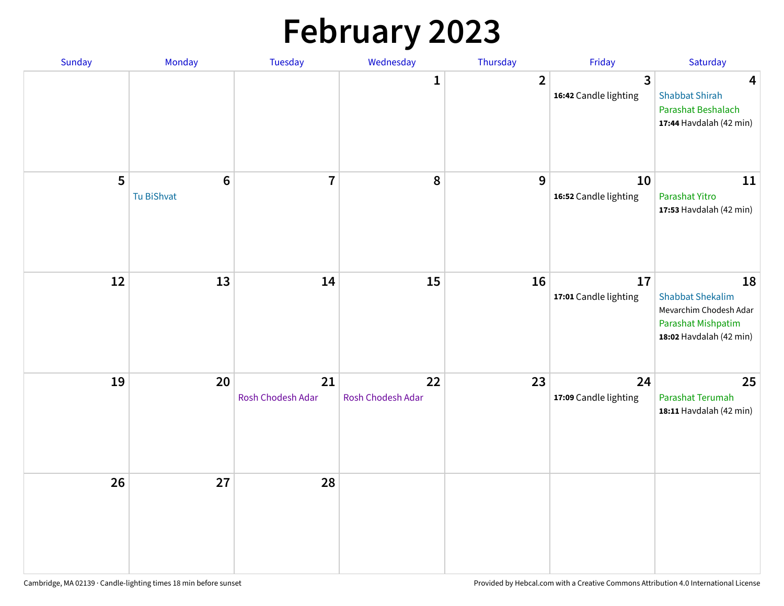# **February 2023**

| Sunday | Monday                        | <b>Tuesday</b>          | Wednesday               | Thursday       | Friday                                  | Saturday                                                                                                 |
|--------|-------------------------------|-------------------------|-------------------------|----------------|-----------------------------------------|----------------------------------------------------------------------------------------------------------|
|        |                               |                         | $\mathbf{1}$            | $\overline{2}$ | $\overline{3}$<br>16:42 Candle lighting | $\overline{\mathbf{4}}$<br><b>Shabbat Shirah</b><br>Parashat Beshalach<br>17:44 Havdalah (42 min)        |
| 5      | $6\phantom{1}6$<br>Tu BiShvat | $\overline{7}$          | 8                       | 9              | 10<br>16:52 Candle lighting             | 11<br>Parashat Yitro<br>17:53 Havdalah (42 min)                                                          |
| 12     | 13                            | 14                      | 15                      | 16             | 17<br>17:01 Candle lighting             | 18<br><b>Shabbat Shekalim</b><br>Mevarchim Chodesh Adar<br>Parashat Mishpatim<br>18:02 Havdalah (42 min) |
| 19     | 20                            | 21<br>Rosh Chodesh Adar | 22<br>Rosh Chodesh Adar | 23             | 24<br>17:09 Candle lighting             | 25<br>Parashat Terumah<br>18:11 Havdalah (42 min)                                                        |
| 26     | 27                            | 28                      |                         |                |                                         |                                                                                                          |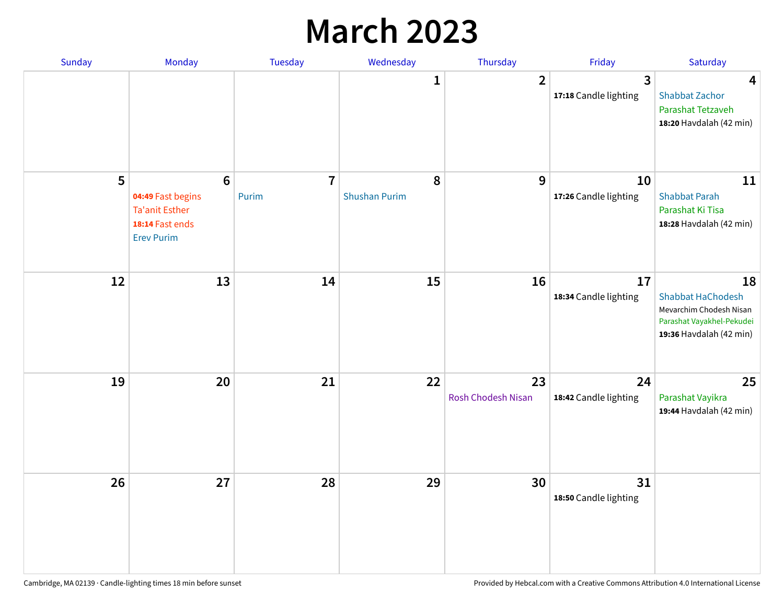## **March 2023**

| Sunday | Monday                                                                                                | Tuesday                 | Wednesday                 | Thursday                 | Friday                      | Saturday                                                                                                          |
|--------|-------------------------------------------------------------------------------------------------------|-------------------------|---------------------------|--------------------------|-----------------------------|-------------------------------------------------------------------------------------------------------------------|
|        |                                                                                                       |                         | 1                         | $\overline{2}$           | 3<br>17:18 Candle lighting  | $\overline{\mathbf{4}}$<br><b>Shabbat Zachor</b><br>Parashat Tetzaveh<br>18:20 Havdalah (42 min)                  |
| 5      | $6\phantom{1}6$<br>04:49 Fast begins<br><b>Ta'anit Esther</b><br>18:14 Fast ends<br><b>Erev Purim</b> | $\overline{7}$<br>Purim | 8<br><b>Shushan Purim</b> | 9                        | 10<br>17:26 Candle lighting | 11<br><b>Shabbat Parah</b><br>Parashat Ki Tisa<br>18:28 Havdalah (42 min)                                         |
| 12     | 13                                                                                                    | 14                      | 15                        | 16                       | 17<br>18:34 Candle lighting | 18<br><b>Shabbat HaChodesh</b><br>Mevarchim Chodesh Nisan<br>Parashat Vayakhel-Pekudei<br>19:36 Havdalah (42 min) |
| 19     | 20                                                                                                    | 21                      | 22                        | 23<br>Rosh Chodesh Nisan | 24<br>18:42 Candle lighting | 25<br>Parashat Vayikra<br>19:44 Havdalah (42 min)                                                                 |
| 26     | 27                                                                                                    | 28                      | 29                        | 30                       | 31<br>18:50 Candle lighting |                                                                                                                   |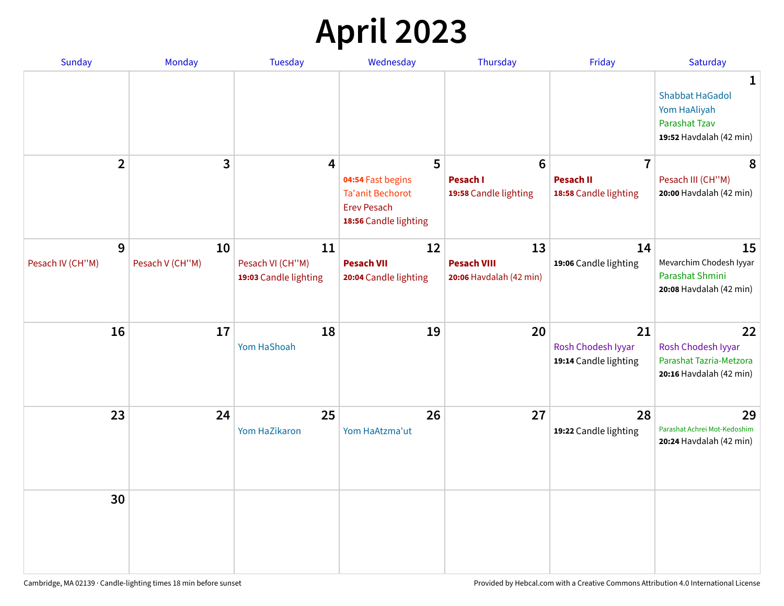# **April 2023**

| <b>Sunday</b>    | Monday          | <b>Tuesday</b>                            | Wednesday                                                                            | Thursday                                      | Friday                                            | Saturday                                                                                                  |
|------------------|-----------------|-------------------------------------------|--------------------------------------------------------------------------------------|-----------------------------------------------|---------------------------------------------------|-----------------------------------------------------------------------------------------------------------|
|                  |                 |                                           |                                                                                      |                                               |                                                   | $\mathbf{1}$<br><b>Shabbat HaGadol</b><br>Yom HaAliyah<br><b>Parashat Tzav</b><br>19:52 Havdalah (42 min) |
| $\mathbf{2}$     | 3               | 4                                         | 5                                                                                    | $6\phantom{1}$                                | $\overline{7}$                                    | 8                                                                                                         |
|                  |                 |                                           | 04:54 Fast begins<br>Ta'anit Bechorot<br><b>Erev Pesach</b><br>18:56 Candle lighting | <b>Pesach I</b><br>19:58 Candle lighting      | <b>Pesach II</b><br>18:58 Candle lighting         | Pesach III (CH"M)<br>20:00 Havdalah (42 min)                                                              |
| 9                | 10              | 11                                        | 12                                                                                   | 13                                            | 14                                                | 15                                                                                                        |
| Pesach IV (CH"M) | Pesach V (CH"M) | Pesach VI (CH"M)<br>19:03 Candle lighting | <b>Pesach VII</b><br>20:04 Candle lighting                                           | <b>Pesach VIII</b><br>20:06 Havdalah (42 min) | 19:06 Candle lighting                             | Mevarchim Chodesh Iyyar<br>Parashat Shmini<br>20:08 Havdalah (42 min)                                     |
| 16               | 17              | 18<br>Yom HaShoah                         | 19                                                                                   | 20                                            | 21<br>Rosh Chodesh Iyyar<br>19:14 Candle lighting | 22<br>Rosh Chodesh Iyyar<br>Parashat Tazria-Metzora<br>20:16 Havdalah (42 min)                            |
| 23               | 24              | 25<br>Yom HaZikaron                       | 26<br>Yom HaAtzma'ut                                                                 | 27                                            | 28<br>19:22 Candle lighting                       | 29<br>Parashat Achrei Mot-Kedoshim<br>20:24 Havdalah (42 min)                                             |
| 30               |                 |                                           |                                                                                      |                                               |                                                   |                                                                                                           |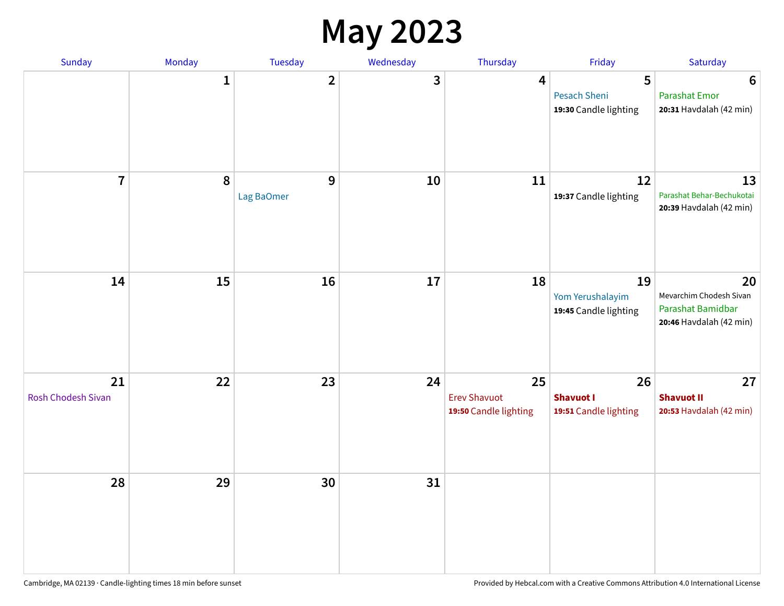#### **May 2023**

| Sunday                   | Monday      | Tuesday         | Wednesday | Thursday                                           | Friday                                          | Saturday                                                                      |
|--------------------------|-------------|-----------------|-----------|----------------------------------------------------|-------------------------------------------------|-------------------------------------------------------------------------------|
|                          | $\mathbf 1$ | $\mathbf{2}$    | 3         | $\overline{\mathbf{4}}$                            | 5<br>Pesach Sheni<br>19:30 Candle lighting      | $6\phantom{1}6$<br><b>Parashat Emor</b><br>20:31 Havdalah (42 min)            |
| $\overline{7}$           | 8           | 9<br>Lag BaOmer | 10        | 11                                                 | 12<br>19:37 Candle lighting                     | 13<br>Parashat Behar-Bechukotai<br>20:39 Havdalah (42 min)                    |
| 14                       | 15          | 16              | 17        | 18                                                 | 19<br>Yom Yerushalayim<br>19:45 Candle lighting | 20<br>Mevarchim Chodesh Sivan<br>Parashat Bamidbar<br>20:46 Havdalah (42 min) |
| 21<br>Rosh Chodesh Sivan | 22          | 23              | 24        | 25<br><b>Erev Shavuot</b><br>19:50 Candle lighting | 26<br><b>Shavuot I</b><br>19:51 Candle lighting | 27<br><b>Shavuot II</b><br>20:53 Havdalah (42 min)                            |
| 28                       | 29          | 30              | 31        |                                                    |                                                 |                                                                               |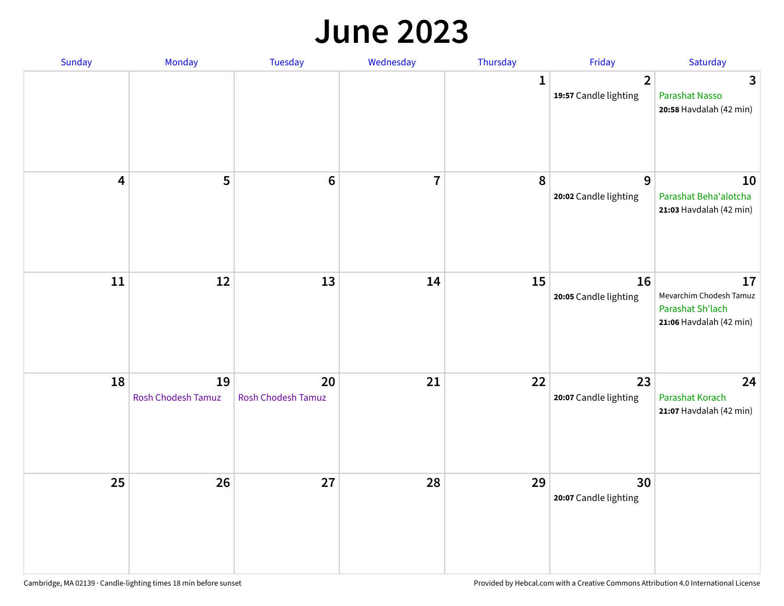#### **June 2023**

| Sunday                  | Monday                   | Tuesday                         | Wednesday               | Thursday | Friday                                  | Saturday                                                                     |
|-------------------------|--------------------------|---------------------------------|-------------------------|----------|-----------------------------------------|------------------------------------------------------------------------------|
|                         |                          |                                 |                         | 1        | $\overline{2}$<br>19:57 Candle lighting | 3<br><b>Parashat Nasso</b><br>20:58 Havdalah (42 min)                        |
| $\overline{\mathbf{4}}$ | 5                        | $6\phantom{1}6$                 | $\overline{\mathbf{7}}$ | 8        | 9<br>20:02 Candle lighting              | 10<br>Parashat Beha'alotcha<br>21:03 Havdalah (42 min)                       |
| $11\,$                  | 12                       | 13                              | 14                      | 15       | 16<br>20:05 Candle lighting             | 17<br>Mevarchim Chodesh Tamuz<br>Parashat Sh'lach<br>21:06 Havdalah (42 min) |
| 18                      | 19<br>Rosh Chodesh Tamuz | 20<br><b>Rosh Chodesh Tamuz</b> | 21                      | 22       | 23<br>20:07 Candle lighting             | 24<br>Parashat Korach<br>21:07 Havdalah (42 min)                             |
| 25                      | 26                       | 27                              | 28                      | 29       | 30<br>20:07 Candle lighting             |                                                                              |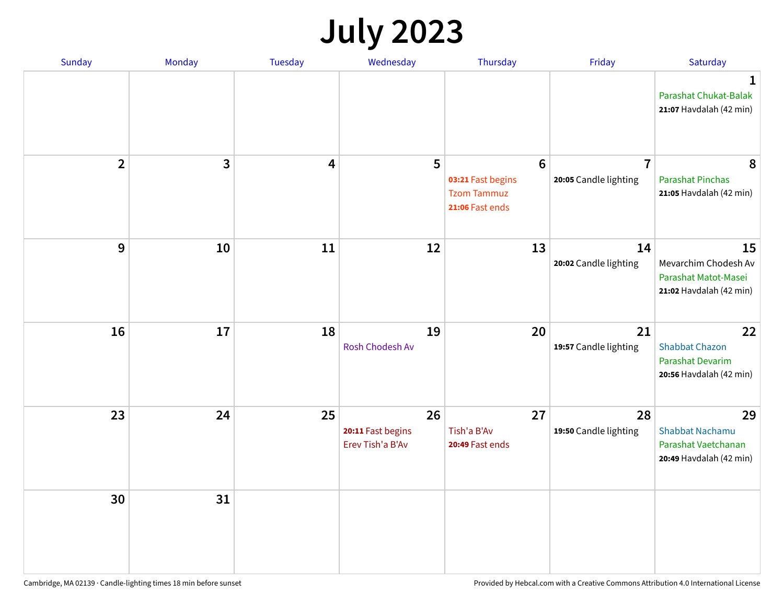# **July 2023**

| Sunday         | Monday | <b>Tuesday</b> | Wednesday                                   | Thursday                                                                      | Friday                                  | Saturday                                                                          |
|----------------|--------|----------------|---------------------------------------------|-------------------------------------------------------------------------------|-----------------------------------------|-----------------------------------------------------------------------------------|
|                |        |                |                                             |                                                                               |                                         | 1<br>Parashat Chukat-Balak<br>21:07 Havdalah (42 min)                             |
| $\overline{2}$ | 3      | 4              | 5                                           | $6\phantom{1}6$<br>03:21 Fast begins<br><b>Tzom Tammuz</b><br>21:06 Fast ends | $\overline{7}$<br>20:05 Candle lighting | 8<br><b>Parashat Pinchas</b><br>21:05 Havdalah (42 min)                           |
| 9              | 10     | 11             | 12                                          | 13                                                                            | 14<br>20:02 Candle lighting             | 15<br>Mevarchim Chodesh Av<br>Parashat Matot-Masei<br>21:02 Havdalah (42 min)     |
| 16             | 17     | 18             | 19<br><b>Rosh Chodesh Av</b>                | 20                                                                            | 21<br>19:57 Candle lighting             | 22<br><b>Shabbat Chazon</b><br><b>Parashat Devarim</b><br>20:56 Havdalah (42 min) |
| 23             | 24     | 25             | 26<br>20:11 Fast begins<br>Erev Tish'a B'Av | 27<br>Tish'a B'Av<br>20:49 Fast ends                                          | 28<br>19:50 Candle lighting             | 29<br><b>Shabbat Nachamu</b><br>Parashat Vaetchanan<br>20:49 Havdalah (42 min)    |
| 30             | 31     |                |                                             |                                                                               |                                         |                                                                                   |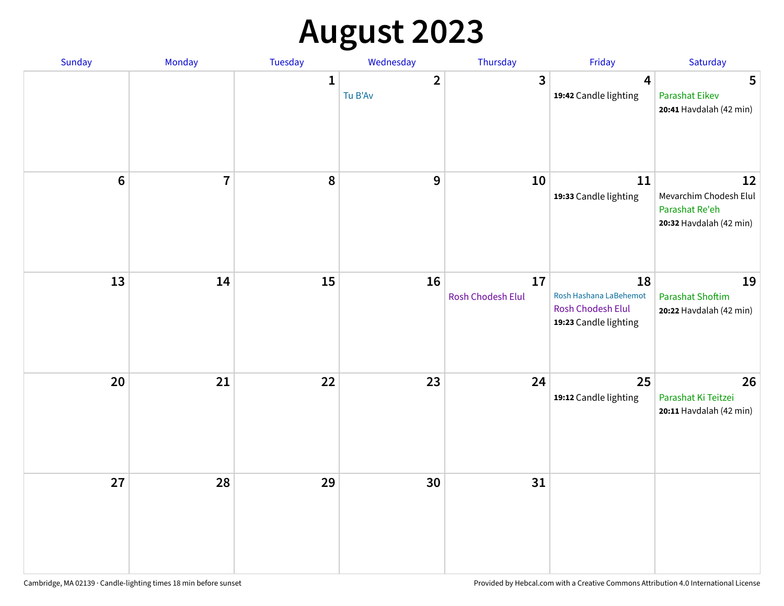# **August 2023**

| Sunday           | Monday         | Tuesday      | Wednesday               | Thursday                | Friday                                                                            | Saturday                                                                  |
|------------------|----------------|--------------|-------------------------|-------------------------|-----------------------------------------------------------------------------------|---------------------------------------------------------------------------|
|                  |                | $\mathbf{1}$ | $\mathbf{2}$<br>Tu B'Av | $\mathbf{3}$            | 4<br>19:42 Candle lighting                                                        | 5<br><b>Parashat Eikev</b><br>20:41 Havdalah (42 min)                     |
| $\boldsymbol{6}$ | $\overline{7}$ | 8            | 9                       | 10                      | 11<br>19:33 Candle lighting                                                       | 12<br>Mevarchim Chodesh Elul<br>Parashat Re'eh<br>20:32 Havdalah (42 min) |
| 13               | 14             | 15           | 16                      | 17<br>Rosh Chodesh Elul | 18<br>Rosh Hashana LaBehemot<br><b>Rosh Chodesh Elul</b><br>19:23 Candle lighting | 19<br><b>Parashat Shoftim</b><br>20:22 Havdalah (42 min)                  |
| 20               | 21             | 22           | 23                      | 24                      | 25<br>19:12 Candle lighting                                                       | 26<br>Parashat Ki Teitzei<br>20:11 Havdalah (42 min)                      |
| 27               | 28             | 29           | 30                      | 31                      |                                                                                   |                                                                           |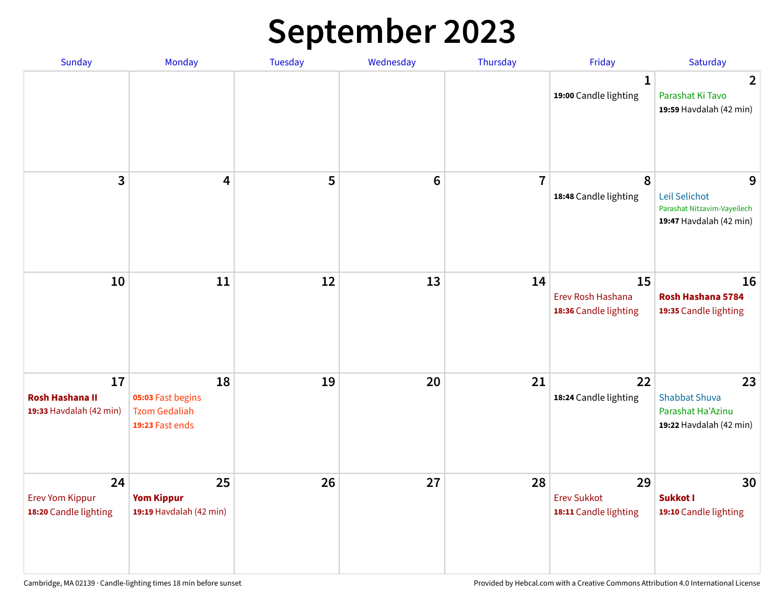# **September 2023**

| Sunday                                                  | Monday                                                             | <b>Tuesday</b> | Wednesday       | Thursday       | Friday                                            | Saturday                                                                     |
|---------------------------------------------------------|--------------------------------------------------------------------|----------------|-----------------|----------------|---------------------------------------------------|------------------------------------------------------------------------------|
|                                                         |                                                                    |                |                 |                | $\mathbf 1$<br>19:00 Candle lighting              | $\overline{2}$<br>Parashat Ki Tavo<br>19:59 Havdalah (42 min)                |
| 3                                                       | $\overline{\mathbf{4}}$                                            | 5              | $6\phantom{1}6$ | $\overline{7}$ | 8<br>18:48 Candle lighting                        | 9<br>Leil Selichot<br>Parashat Nitzavim-Vayeilech<br>19:47 Havdalah (42 min) |
| 10                                                      | 11                                                                 | 12             | 13              | 14             | 15<br>Erev Rosh Hashana<br>18:36 Candle lighting  | 16<br>Rosh Hashana 5784<br>19:35 Candle lighting                             |
| 17<br><b>Rosh Hashana II</b><br>19:33 Havdalah (42 min) | 18<br>05:03 Fast begins<br><b>Tzom Gedaliah</b><br>19:23 Fast ends | 19             | 20              | 21             | 22<br>18:24 Candle lighting                       | 23<br><b>Shabbat Shuva</b><br>Parashat Ha'Azinu<br>19:22 Havdalah (42 min)   |
| 24<br><b>Erev Yom Kippur</b><br>18:20 Candle lighting   | 25<br><b>Yom Kippur</b><br>19:19 Havdalah (42 min)                 | 26             | 27              | 28             | 29<br><b>Erev Sukkot</b><br>18:11 Candle lighting | 30<br><b>Sukkot I</b><br>19:10 Candle lighting                               |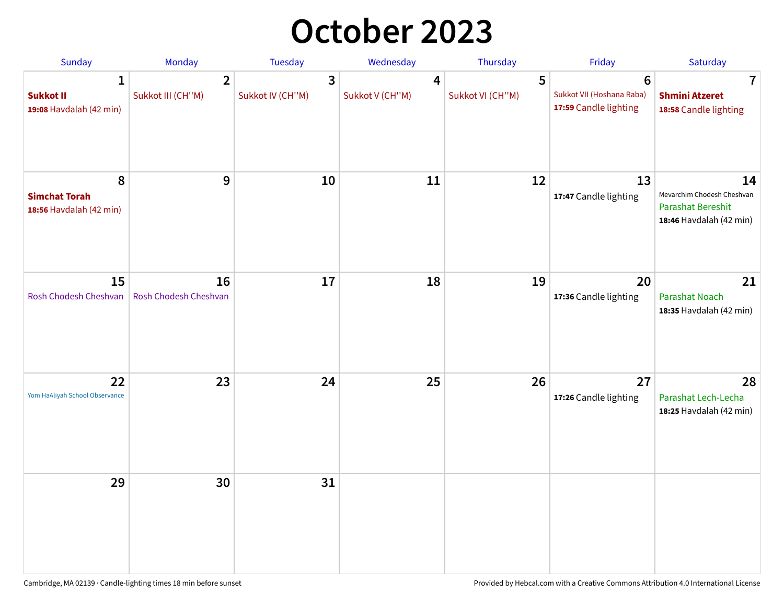## **October 2023**

| Sunday                                               | <b>Monday</b>                       | <b>Tuesday</b>        | Wednesday            | Thursday              | Friday                                                               | Saturday                                                                         |
|------------------------------------------------------|-------------------------------------|-----------------------|----------------------|-----------------------|----------------------------------------------------------------------|----------------------------------------------------------------------------------|
| 1<br><b>Sukkot II</b><br>19:08 Havdalah (42 min)     | $\overline{2}$<br>Sukkot III (CH"M) | 3<br>Sukkot IV (CH"M) | 4<br>Sukkot V (CH"M) | 5<br>Sukkot VI (CH"M) | $6\phantom{1}$<br>Sukkot VII (Hoshana Raba)<br>17:59 Candle lighting | $\overline{7}$<br><b>Shmini Atzeret</b><br>18:58 Candle lighting                 |
| 8<br><b>Simchat Torah</b><br>18:56 Havdalah (42 min) | 9                                   | 10                    | 11                   | 12                    | 13<br>17:47 Candle lighting                                          | 14<br>Mevarchim Chodesh Cheshvan<br>Parashat Bereshit<br>18:46 Havdalah (42 min) |
| 15<br>Rosh Chodesh Cheshvan                          | 16<br>Rosh Chodesh Cheshvan         | 17                    | 18                   | 19                    | 20<br>17:36 Candle lighting                                          | 21<br><b>Parashat Noach</b><br>18:35 Havdalah (42 min)                           |
| 22<br>Yom HaAliyah School Observance                 | 23                                  | 24                    | 25                   | 26                    | 27<br>17:26 Candle lighting                                          | 28<br>Parashat Lech-Lecha<br>18:25 Havdalah (42 min)                             |
| 29                                                   | 30                                  | 31                    |                      |                       |                                                                      |                                                                                  |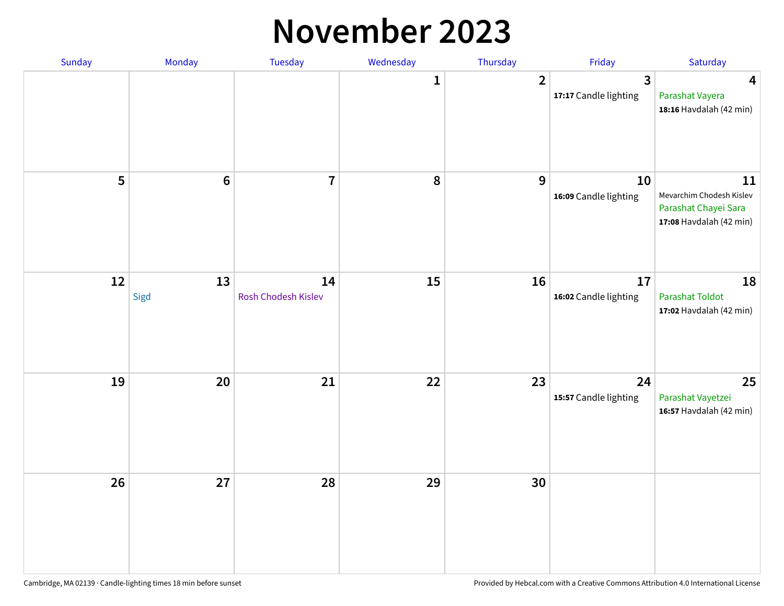#### **November 2023**

| Sunday | Monday         | Tuesday                   | Wednesday | Thursday         | Friday                                  | Saturday                                                                          |
|--------|----------------|---------------------------|-----------|------------------|-----------------------------------------|-----------------------------------------------------------------------------------|
|        |                |                           | 1         | $\overline{2}$   | $\overline{3}$<br>17:17 Candle lighting | $\overline{\mathbf{4}}$<br>Parashat Vayera<br>18:16 Havdalah (42 min)             |
| 5      | $6\phantom{a}$ | $\overline{1}$            | 8         | $\boldsymbol{9}$ | 10<br>16:09 Candle lighting             | 11<br>Mevarchim Chodesh Kislev<br>Parashat Chayei Sara<br>17:08 Havdalah (42 min) |
| 12     | 13<br>Sigd     | 14<br>Rosh Chodesh Kislev | 15        | 16               | 17<br>16:02 Candle lighting             | 18<br><b>Parashat Toldot</b><br>17:02 Havdalah (42 min)                           |
| 19     | 20             | 21                        | 22        | 23               | 24<br>15:57 Candle lighting             | 25<br>Parashat Vayetzei<br>16:57 Havdalah (42 min)                                |
| 26     | 27             | 28                        | 29        | 30               |                                         |                                                                                   |